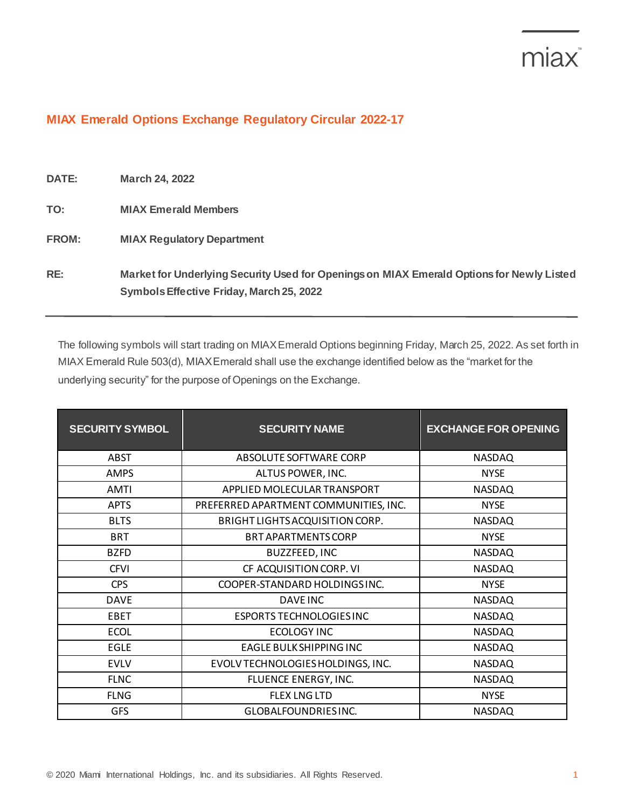## miax<sup>®</sup>

## **MIAX Emerald Options Exchange Regulatory Circular 2022-17**

| <b>DATE:</b> | <b>March 24, 2022</b>                                                                                                                 |
|--------------|---------------------------------------------------------------------------------------------------------------------------------------|
| TO:          | <b>MIAX Emerald Members</b>                                                                                                           |
| <b>FROM:</b> | <b>MIAX Regulatory Department</b>                                                                                                     |
| RE:          | Market for Underlying Security Used for Openings on MIAX Emerald Options for Newly Listed<br>Symbols Effective Friday, March 25, 2022 |

The following symbols will start trading on MIAX Emerald Options beginning Friday, March 25, 2022. As set forth in MIAX Emerald Rule 503(d), MIAX Emerald shall use the exchange identified below as the "market for the underlying security" for the purpose of Openings on the Exchange.

| <b>SECURITY SYMBOL</b> | <b>SECURITY NAME</b>                  | <b>EXCHANGE FOR OPENING</b> |
|------------------------|---------------------------------------|-----------------------------|
| <b>ABST</b>            | ABSOLUTE SOFTWARE CORP                | <b>NASDAQ</b>               |
| <b>AMPS</b>            | ALTUS POWER, INC.                     | <b>NYSE</b>                 |
| AMTI                   | APPLIED MOLECULAR TRANSPORT           | <b>NASDAQ</b>               |
| <b>APTS</b>            | PREFERRED APARTMENT COMMUNITIES, INC. | <b>NYSE</b>                 |
| <b>BLTS</b>            | BRIGHT LIGHTS ACQUISITION CORP.       | <b>NASDAQ</b>               |
| <b>BRT</b>             | <b>BRT APARTMENTS CORP</b>            | <b>NYSE</b>                 |
| <b>BZFD</b>            | <b>BUZZFEED, INC</b>                  | <b>NASDAQ</b>               |
| <b>CFVI</b>            | CF ACQUISITION CORP. VI               | <b>NASDAQ</b>               |
| <b>CPS</b>             | COOPER-STANDARD HOLDINGSINC.          | <b>NYSE</b>                 |
| <b>DAVE</b>            | <b>DAVE INC</b>                       | <b>NASDAQ</b>               |
| <b>EBET</b>            | <b>ESPORTS TECHNOLOGIES INC</b>       | <b>NASDAQ</b>               |
| <b>ECOL</b>            | ECOLOGY INC                           | <b>NASDAQ</b>               |
| <b>EGLE</b>            | EAGLE BULK SHIPPING INC               | <b>NASDAQ</b>               |
| <b>EVLV</b>            | EVOLV TECHNOLOGIES HOLDINGS, INC.     | <b>NASDAQ</b>               |
| <b>FLNC</b>            | FLUENCE ENERGY, INC.                  | <b>NASDAQ</b>               |
| <b>FLNG</b>            | <b>FLEX LNG LTD</b>                   | <b>NYSE</b>                 |
| <b>GFS</b>             | GLOBALFOUNDRIES INC.                  | <b>NASDAQ</b>               |